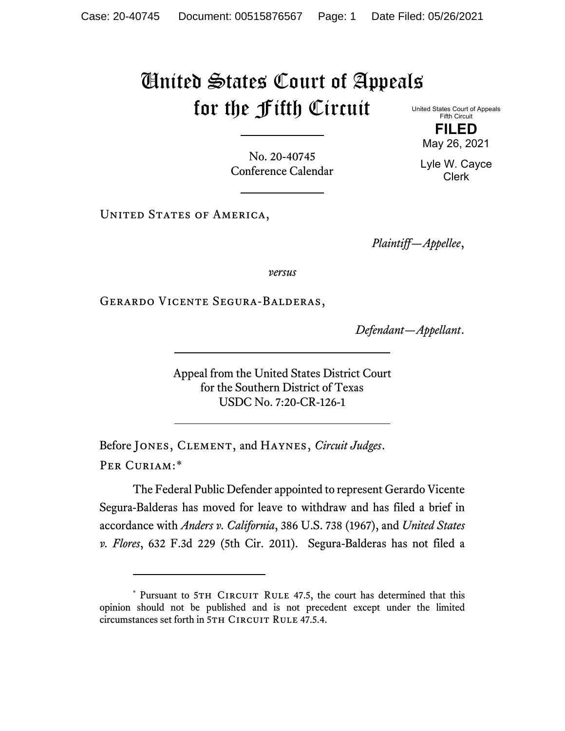## United States Court of Appeals for the Fifth Circuit

United States Court of Appeals Fifth Circuit **FILED**

No. 20-40745 Conference Calendar

UNITED STATES OF AMERICA,

*Plaintiff—Appellee*,

*versus*

Gerardo Vicente Segura-Balderas,

*Defendant—Appellant*.

Appeal from the United States District Court for the Southern District of Texas USDC No. 7:20-CR-126-1

Before Jones, Clement, and Haynes, *Circuit Judges*. Per Curiam:[\\*](#page-0-0)

The Federal Public Defender appointed to represent Gerardo Vicente Segura-Balderas has moved for leave to withdraw and has filed a brief in accordance with *Anders v. California*, 386 U.S. 738 (1967), and *United States v. Flores*, 632 F.3d 229 (5th Cir. 2011). Segura-Balderas has not filed a

May 26, 2021 Lyle W. Cayce

Clerk

<span id="page-0-0"></span><sup>\*</sup> Pursuant to 5TH CIRCUIT RULE 47.5, the court has determined that this opinion should not be published and is not precedent except under the limited circumstances set forth in 5TH CIRCUIT RULE 47.5.4.